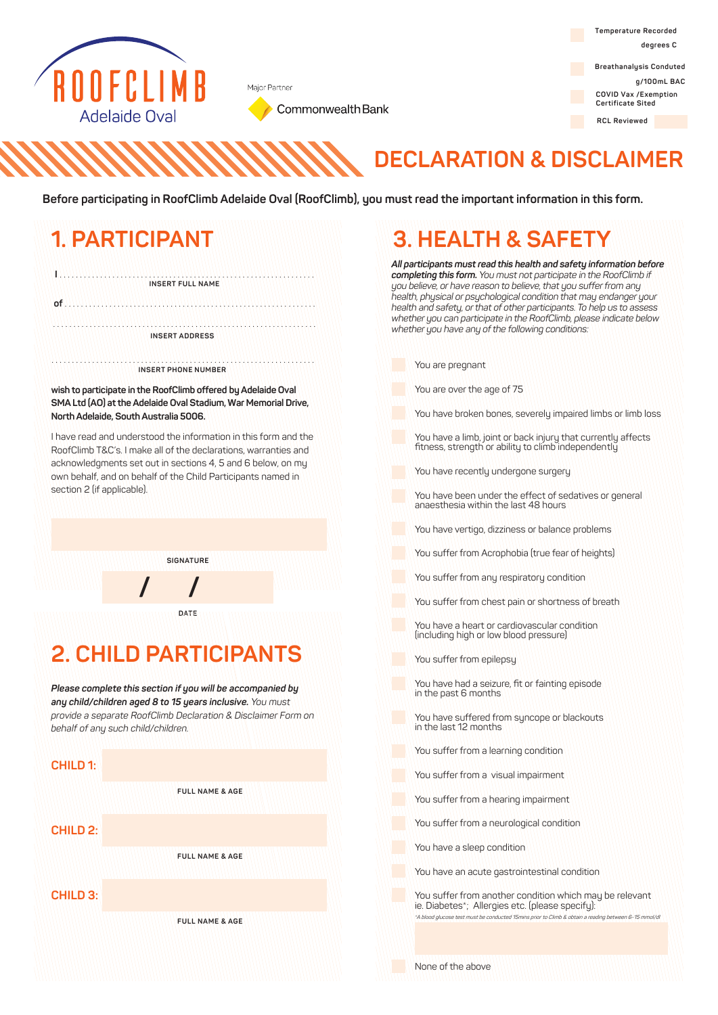

Major Partner

Commonwealth Bank

**Temperature Recorded degrees C**

**Breathanalysis Conduted g/100mL BAC COVID Vax /Exemption Certificate Sited**

**RCL Reviewed**

## **DECLARATION & DISCLAIMER**

**Before participating in RoofClimb Adelaide Oval (RoofClimb), you must read the important information in this form.** 

### **1. PARTICIPANT I** . . . . . . . . . . . . . . . . . . . . . . . . . . . . . . . . . . . . . . . . . . . . . . . . . . . . . . . . . . . . . . . **INSERT FULL NAME of** . . . . . . . . . . . . . . . . . . . . . . . . . . . . . . . . . . . . . . . . . . . . . . . . . . . . . . . . . . . . . . . . . . . . . . . . . . . . . . . . . . . . . . . . . . . . . . . . . . . . . . . . . . . . . . . . . . . . . . . . . . . . . . . **INSERT ADDRESS INSERT PHONE NUMBER wish to participate in the RoofClimb offered by Adelaide Oval**  . . . . . . . . . . . . . . . . . . . . . . . . . . . . . . . . . . . . . . . . . . . . . . . . . . . . . . . . . . . . . . . . .

**SMA Ltd (AO) at the Adelaide Oval Stadium, War Memorial Drive, North Adelaide, South Australia 5006.**

I have read and understood the information in this form and the RoofClimb T&C's. I make all of the declarations, warranties and acknowledgments set out in sections 4, 5 and 6 below, on my own behalf, and on behalf of the Child Participants named in section 2 (if applicable).

**SIGNATURE**

**DATE**

### **2. CHILD PARTICIPANTS**

**/ /**

*Please complete this section if you will be accompanied by any child/children aged 8 to 15 years inclusive. You must provide a separate RoofClimb Declaration & Disclaimer Form on behalf of any such child/children.* 

#### **CHILD 1:**

**FULL NAME & AGE**

**CHILD 2:**

**FULL NAME & AGE**

**CHILD 3:**

**FULL NAME & AGE**

## **3. HEALTH & SAFETY**

*All participants must read this health and safety information before completing this form. You must not participate in the RoofClimb if you believe, or have reason to believe, that you sufferfrom any health, physical or psychological condition that may endanger your health and safety, orthat of other participants. To help us to assess whether you can participate in the RoofClimb, please indicate below whether you have any ofthe following conditions:*

You are pregnant

You are over the age of 75

You have broken bones, severely impaired limbs or limb loss

You have a limb, joint or back injury that currently affects fitness, strength or ability to climb independently

You have recently undergone surgery

You have been under the effect of sedatives or general anaesthesia within the last 48 hours

You have vertigo, dizziness or balance problems

You suffer from Acrophobia (true fear of heights)

You suffer from any respiratory condition

You suffer from chest pain or shortness of breath

You have a heart or cardiovascular condition (including high or low blood pressure)

You suffer from epilepsy

You have had a seizure, fit or fainting episode in the past 6 months

You have suffered from syncope or blackouts in the last 12 months

You suffer from a learning condition

You suffer from a visual impairment

You suffer from a hearing impairment

You suffer from a neurological condition

You have a sleep condition

You have an acute gastrointestinal condition

You suffer from another condition which may be relevant ie. Diabetes\*; Allergies etc. (please specify): \*A blood glucose test must be conducted 15mins prior to Climb & obtain a reading

None of the above